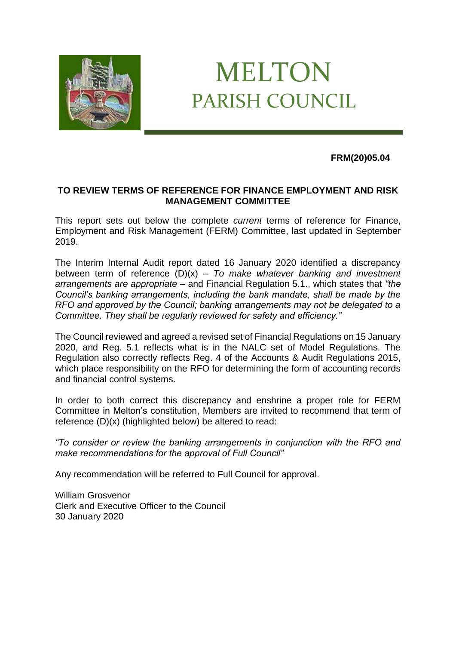

## MELTON PARISH COUNCIL

## **FRM(20)05.04**

## **TO REVIEW TERMS OF REFERENCE FOR FINANCE EMPLOYMENT AND RISK MANAGEMENT COMMITTEE**

This report sets out below the complete *current* terms of reference for Finance, Employment and Risk Management (FERM) Committee, last updated in September 2019.

The Interim Internal Audit report dated 16 January 2020 identified a discrepancy between term of reference (D)(x) – *To make whatever banking and investment arrangements are appropriate* – and Financial Regulation 5.1., which states that *"the Council's banking arrangements, including the bank mandate, shall be made by the RFO and approved by the Council; banking arrangements may not be delegated to a Committee. They shall be regularly reviewed for safety and efficiency."*

The Council reviewed and agreed a revised set of Financial Regulations on 15 January 2020, and Reg. 5.1 reflects what is in the NALC set of Model Regulations. The Regulation also correctly reflects Reg. 4 of the Accounts & Audit Regulations 2015, which place responsibility on the RFO for determining the form of accounting records and financial control systems.

In order to both correct this discrepancy and enshrine a proper role for FERM Committee in Melton's constitution, Members are invited to recommend that term of reference (D)(x) (highlighted below) be altered to read:

*"To consider or review the banking arrangements in conjunction with the RFO and make recommendations for the approval of Full Council"* 

Any recommendation will be referred to Full Council for approval.

William Grosvenor Clerk and Executive Officer to the Council 30 January 2020